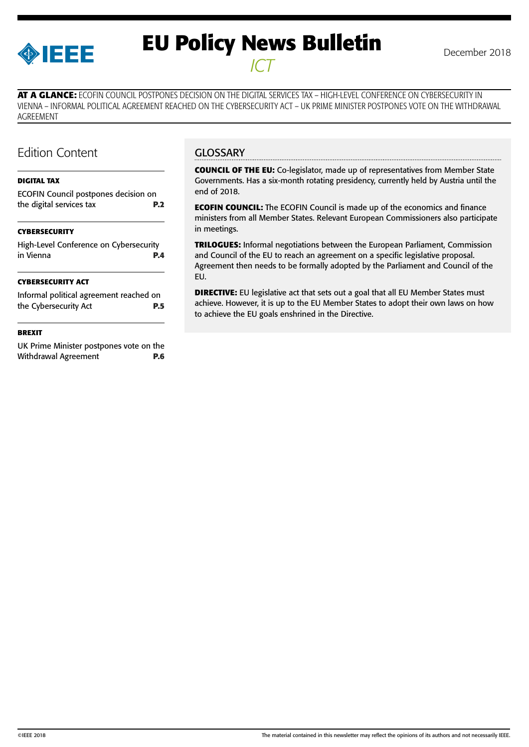

# **EU Policy News Bulletin** December 2018 *ICT*

**AT A GLANCE:** ECOFIN COUNCIL POSTPONES DECISION ON THE DIGITAL SERVICES TAX – HIGH-LEVEL CONFERENCE ON CYBERSECURITY IN VIENNA – INFORMAL POLITICAL AGREEMENT REACHED ON THE CYBERSECURITY ACT – UK PRIME MINISTER POSTPONES VOTE ON THE WITHDRAWAL AGREEMENT

### Edition Content

#### **[DIGITAL TAX](#page-1-0)**

| <b>CYBERSECURITY</b>                                             |            |  |
|------------------------------------------------------------------|------------|--|
| ECOFIN Council postpones decision on<br>the digital services tax | <b>P.2</b> |  |
|                                                                  |            |  |

#### **[CYBERSECURITY](#page-3-0)**

|           | High-Level Conference on Cybersecurity |
|-----------|----------------------------------------|
| in Vienna | <b>P.4</b>                             |
|           |                                        |

#### **[CYBERSECURITY ACT](#page-4-0)**

| Informal political agreement reached on |            |
|-----------------------------------------|------------|
| the Cybersecurity Act                   | <b>P.5</b> |

#### **[BREXIT](#page-5-0)**

[UK Prime Minister postpones vote on the](#page-5-0) [Withdrawal Agreement](#page-5-0) **P.6** 

#### **GLOSSARY**

**COUNCIL OF THE EU:** Co-legislator, made up of representatives from Member State Governments. Has a six-month rotating presidency, currently held by Austria until the end of 2018.

**ECOFIN COUNCIL:** The ECOFIN Council is made up of the economics and finance ministers from all Member States. Relevant European Commissioners also participate in meetings.

**TRILOGUES:** Informal negotiations between the European Parliament, Commission and Council of the EU to reach an agreement on a specific legislative proposal. Agreement then needs to be formally adopted by the Parliament and Council of the EU.

**DIRECTIVE:** EU legislative act that sets out a goal that all EU Member States must achieve. However, it is up to the EU Member States to adopt their own laws on how to achieve the EU goals enshrined in the Directive.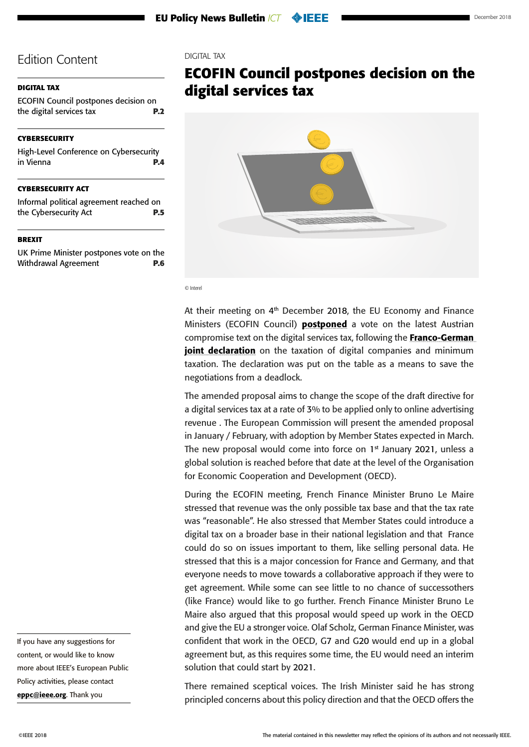#### <span id="page-1-0"></span>**DIGITAL TAX**

ECOFIN Council postpones decision on the digital services tax **P.2**

#### **[CYBERSECURITY](#page-3-0)**

[High-Level Conference on Cybersecurity](#page-3-0)  [in Vienna](#page-3-0) **P.4**

#### **[CYBERSECURITY ACT](#page-4-0)**

[Informal political agreement reached on](#page-4-0)  [the Cybersecurity Act](#page-4-0) **P.5**

#### **[BREXIT](#page-5-0)**

[UK Prime Minister postpones vote on the](#page-5-0) [Withdrawal Agreement](#page-5-0) **P.6** DIGITAL TAX

# **ECOFIN Council postpones decision on the digital services tax**



© Interel

At their meeting on 4<sup>th</sup> December 2018, the EU Economy and Finance Ministers (ECOFIN Council) **[postponed](https://www.consilium.europa.eu/en/meetings/ecofin/2018/12/04/)** a vote on the latest Austrian compromise text on the digital services tax, following the [Franco-German](https://www.consilium.europa.eu/media/37276/fr-de-joint-declaration-on-the-taxation-of-digital-companies-final.pdf)  [joint declaration](https://www.consilium.europa.eu/media/37276/fr-de-joint-declaration-on-the-taxation-of-digital-companies-final.pdf) on the taxation of digital companies and minimum taxation. The declaration was put on the table as a means to save the negotiations from a deadlock.

The amended proposal aims to change the scope of the draft directive for a digital services tax at a rate of 3% to be applied only to online advertising revenue . The European Commission will present the amended proposal in January / February, with adoption by Member States expected in March. The new proposal would come into force on 1<sup>st</sup> January 2021, unless a global solution is reached before that date at the level of the Organisation for Economic Cooperation and Development (OECD).

During the ECOFIN meeting, French Finance Minister Bruno Le Maire stressed that revenue was the only possible tax base and that the tax rate was "reasonable". He also stressed that Member States could introduce a digital tax on a broader base in their national legislation and that France could do so on issues important to them, like selling personal data. He stressed that this is a major concession for France and Germany, and that everyone needs to move towards a collaborative approach if they were to get agreement. While some can see little to no chance of successothers (like France) would like to go further. French Finance Minister Bruno Le Maire also argued that this proposal would speed up work in the OECD and give the EU a stronger voice. Olaf Scholz, German Finance Minister, was confident that work in the OECD, G7 and G20 would end up in a global agreement but, as this requires some time, the EU would need an interim solution that could start by 2021.

There remained sceptical voices. The Irish Minister said he has strong principled concerns about this policy direction and that the OECD offers the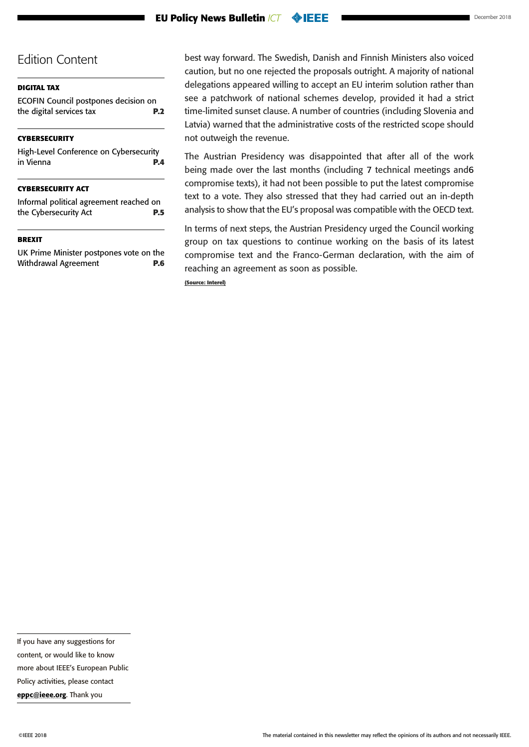#### **[DIGITAL TAX](#page-1-0)**

[ECOFIN Council postpones decision on](#page-1-0)  [the digital services tax](#page-1-0) **P.2**

#### **[CYBERSECURITY](#page-3-0)**

[High-Level Conference on Cybersecurity](#page-3-0)  [in Vienna](#page-3-0) **P.4**

#### **[CYBERSECURITY ACT](#page-4-0)**

[Informal political agreement reached on](#page-4-0)  [the Cybersecurity Act](#page-4-0) **P.5**

#### **[BREXIT](#page-5-0)**

[UK Prime Minister postpones vote on the](#page-5-0) [Withdrawal Agreement](#page-5-0) **P.6** 

best way forward. The Swedish, Danish and Finnish Ministers also voiced caution, but no one rejected the proposals outright. A majority of national delegations appeared willing to accept an EU interim solution rather than see a patchwork of national schemes develop, provided it had a strict time-limited sunset clause. A number of countries (including Slovenia and Latvia) warned that the administrative costs of the restricted scope should not outweigh the revenue.

The Austrian Presidency was disappointed that after all of the work being made over the last months (including 7 technical meetings and6 compromise texts), it had not been possible to put the latest compromise text to a vote. They also stressed that they had carried out an in-depth analysis to show that the EU's proposal was compatible with the OECD text.

In terms of next steps, the Austrian Presidency urged the Council working group on tax questions to continue working on the basis of its latest compromise text and the Franco-German declaration, with the aim of reaching an agreement as soon as possible.

**(Source: Interel)**

If you have any suggestions for content, or would like to know more about IEEE's European Public Policy activities, please contact

[eppc@ieee.org](mailto:eppc%40ieee.org?subject=). Thank you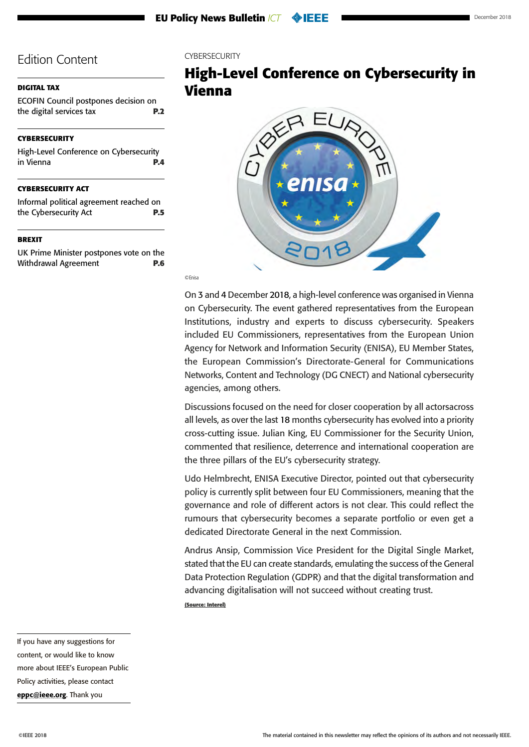#### <span id="page-3-0"></span>**[DIGITAL TAX](#page-1-0)**

[ECOFIN Council postpones decision on](#page-1-0)  [the digital services tax](#page-1-0) **P.2**

#### **CYBERSECURITY**

High-Level Conference on Cybersecurity in Vienna **P.4**

#### **[CYBERSECURITY ACT](#page-4-0)**

[Informal political agreement reached on](#page-4-0)  [the Cybersecurity Act](#page-4-0) **P.5**

#### **[BREXIT](#page-5-0)**

[UK Prime Minister postpones vote on the](#page-5-0) [Withdrawal Agreement](#page-5-0) **P.6**

#### CYBERSECURITY

# **High-Level Conference on Cybersecurity in Vienna**



©Enisa

On 3 and 4 December 2018, a high-level conference was organised in Vienna on Cybersecurity. The event gathered representatives from the European Institutions, industry and experts to discuss cybersecurity. Speakers included EU Commissioners, representatives from the European Union Agency for Network and Information Security (ENISA), EU Member States, the European Commission's Directorate-General for Communications Networks, Content and Technology (DG CNECT) and National cybersecurity agencies, among others.

Discussions focused on the need for closer cooperation by all actorsacross all levels, as over the last 18 months cybersecurity has evolved into a priority cross-cutting issue. Julian King, EU Commissioner for the Security Union, commented that resilience, deterrence and international cooperation are the three pillars of the EU's cybersecurity strategy.

Udo Helmbrecht, ENISA Executive Director, pointed out that cybersecurity policy is currently split between four EU Commissioners, meaning that the governance and role of different actors is not clear. This could reflect the rumours that cybersecurity becomes a separate portfolio or even get a dedicated Directorate General in the next Commission.

Andrus Ansip, Commission Vice President for the Digital Single Market, stated that the EU can create standards, emulating the success of the General Data Protection Regulation (GDPR) and that the digital transformation and advancing digitalisation will not succeed without creating trust. **(Source: Interel)**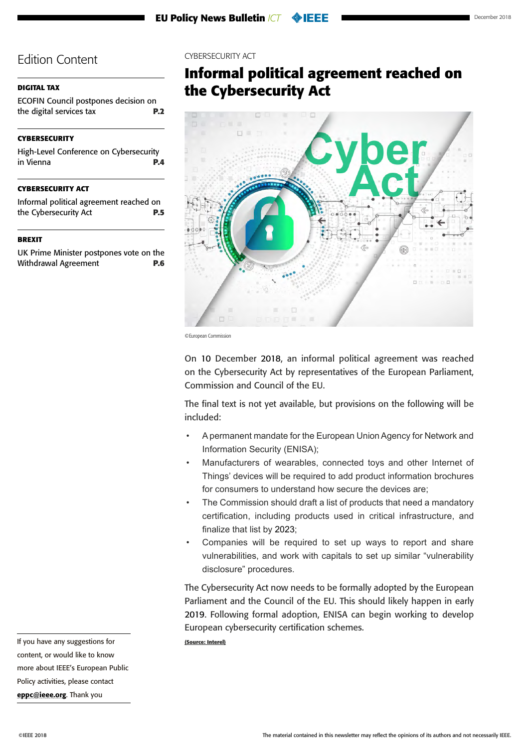#### <span id="page-4-0"></span>**[DIGITAL TAX](#page-1-0)**

[ECOFIN Council postpones decision on](#page-1-0)  [the digital services tax](#page-1-0) **P.2**

#### **[CYBERSECURITY](#page-3-0)**

[High-Level Conference on Cybersecurity](#page-3-0)  [in Vienna](#page-3-0) **P.4**

#### **CYBERSECURITY ACT**

Informal political agreement reached on the Cybersecurity Act **P.5**

#### **[BREXIT](#page-5-0)**

[UK Prime Minister postpones vote on the](#page-5-0) [Withdrawal Agreement](#page-5-0) **P.6**

#### CYBERSECURITY ACT

# **Informal political agreement reached on the Cybersecurity Act**



<sup>©</sup>European Commission

On 10 December 2018, an informal political agreement was reached on the Cybersecurity Act by representatives of the European Parliament, Commission and Council of the EU.

The final text is not yet available, but provisions on the following will be included:

- A permanent mandate for the European Union Agency for Network and Information Security (ENISA);
- Manufacturers of wearables, connected toys and other Internet of Things' devices will be required to add product information brochures for consumers to understand how secure the devices are;
- The Commission should draft a list of products that need a mandatory certification, including products used in critical infrastructure, and finalize that list by 2023;
- Companies will be required to set up ways to report and share vulnerabilities, and work with capitals to set up similar "vulnerability disclosure" procedures.

The Cybersecurity Act now needs to be formally adopted by the European Parliament and the Council of the EU. This should likely happen in early 2019. Following formal adoption, ENISA can begin working to develop European cybersecurity certification schemes.

**(Source: Interel)**